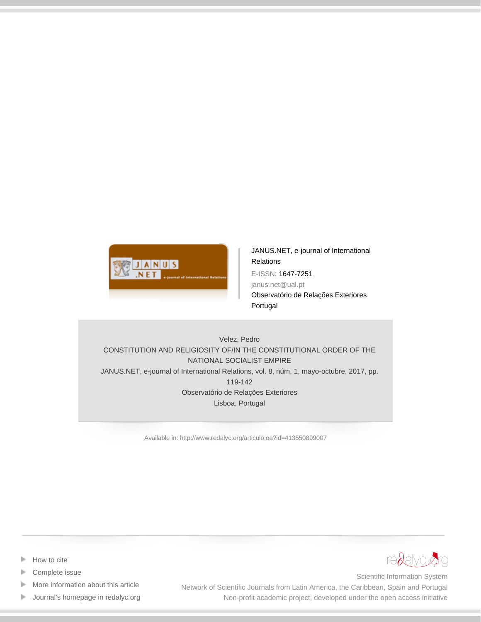

[JANUS.NET, e-journal of International](http://www.redalyc.org/revista.oa?id=4135) **[Relations](http://www.redalyc.org/revista.oa?id=4135)** E-ISSN: 1647-7251 janus.net@ual.pt Observatório de Relações Exteriores Portugal

Velez, Pedro CONSTITUTION AND RELIGIOSITY OF/IN THE CONSTITUTIONAL ORDER OF THE NATIONAL SOCIALIST EMPIRE JANUS.NET, e-journal of International Relations, vol. 8, núm. 1, mayo-octubre, 2017, pp. 119-142 Observatório de Relações Exteriores Lisboa, Portugal

[Available in: http://www.redalyc.org/articulo.oa?id=413550899007](http://www.redalyc.org/articulo.oa?id=413550899007)



 [Complete issue](http://www.redalyc.org/fasciculo.oa?id=4135&numero=50899)

Þ

- [More information about this article](http://www.redalyc.org/articulo.oa?id=413550899007) Þ
- [Journal's homepage in redalyc.org](http://www.redalyc.org/revista.oa?id=4135)  $\mathbb P$



Scientific Information System Network of Scientific Journals from Latin America, the Caribbean, Spain and Portugal Non-profit academic project, developed under the open access initiative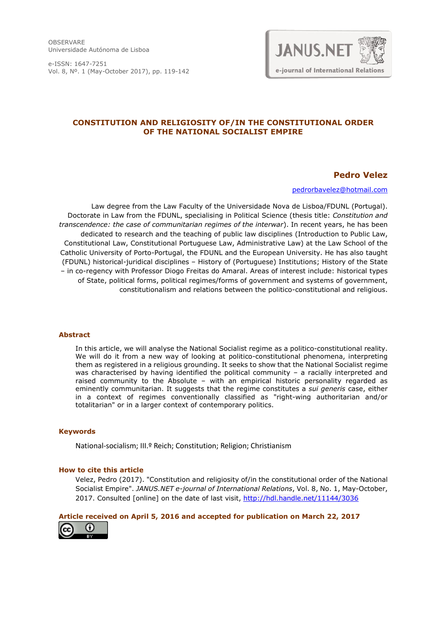OBSERVARE Universidade Autónoma de Lisboa

e-ISSN: 1647-7251 Vol. 8, Nº. 1 (May-October 2017), pp. 119-142



#### **CONSTITUTION AND RELIGIOSITY OF/IN THE CONSTITUTIONAL ORDER OF THE NATIONAL SOCIALIST EMPIRE**

#### **Pedro Velez**

[pedrorbavelez@hotmail.com](mailto:pedrorbavelez@hotmail.com)

Law degree from the Law Faculty of the Universidade Nova de Lisboa/FDUNL (Portugal). Doctorate in Law from the FDUNL, specialising in Political Science (thesis title: *Constitution and transcendence: the case of communitarian regimes of the interwar*). In recent years, he has been dedicated to research and the teaching of public law disciplines (Introduction to Public Law, Constitutional Law, Constitutional Portuguese Law, Administrative Law) at the Law School of the Catholic University of Porto-Portugal, the FDUNL and the European University. He has also taught (FDUNL) historical-juridical disciplines – History of (Portuguese) Institutions; History of the State – in co-regency with Professor Diogo Freitas do Amaral. Areas of interest include: historical types of State, political forms, political regimes/forms of government and systems of government, constitutionalism and relations between the politico-constitutional and religious.

#### **Abstract**

In this article, we will analyse the National Socialist regime as a politico-constitutional reality. We will do it from a new way of looking at politico-constitutional phenomena, interpreting them as registered in a religious grounding. It seeks to show that the National Socialist regime was characterised by having identified the political community - a racially interpreted and raised community to the Absolute – with an empirical historic personality regarded as eminently communitarian. It suggests that the regime constitutes a *sui generis* case, either in a context of regimes conventionally classified as "right-wing authoritarian and/or totalitarian" or in a larger context of contemporary politics.

#### **Keywords**

National-socialism; III.º Reich; Constitution; Religion; Christianism

#### **How to cite this article**

Velez, Pedro (2017). "Constitution and religiosity of/in the constitutional order of the National Socialist Empire". *JANUS.NET e-journal of International Relations*, Vol. 8, No. 1, May-October, 2017. Consulted [online] on the date of last visit, <http://hdl.handle.net/11144/3036>

#### **Article received on April 5, 2016 and accepted for publication on March 22, 2017**

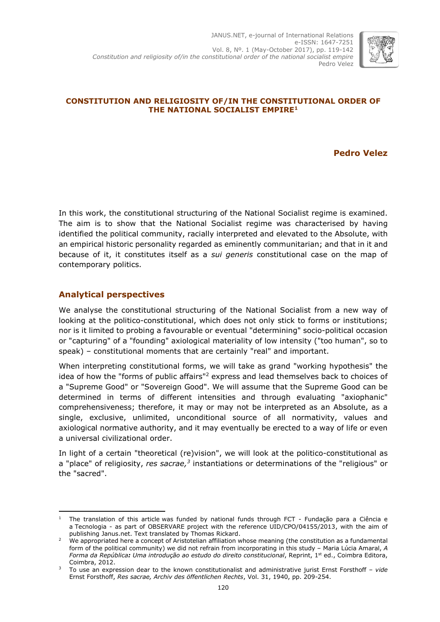

#### **CONSTITUTION AND RELIGIOSITY OF/IN THE CONSTITUTIONAL ORDER OF THE NATIONAL SOCIALIST EMPIRE<sup>1</sup>**

**Pedro Velez**

In this work, the constitutional structuring of the National Socialist regime is examined. The aim is to show that the National Socialist regime was characterised by having identified the political community, racially interpreted and elevated to the Absolute, with an empirical historic personality regarded as eminently communitarian; and that in it and because of it, it constitutes itself as a *sui generis* constitutional case on the map of contemporary politics.

## **Analytical perspectives**

We analyse the constitutional structuring of the National Socialist from a new way of looking at the politico-constitutional, which does not only stick to forms or institutions; nor is it limited to probing a favourable or eventual "determining" socio-political occasion or "capturing" of a "founding" axiological materiality of low intensity ("too human", so to speak) – constitutional moments that are certainly "real" and important.

When interpreting constitutional forms, we will take as grand "working hypothesis" the idea of how the "forms of public affairs"<sup>2</sup> express and lead themselves back to choices of a "Supreme Good" or "Sovereign Good". We will assume that the Supreme Good can be determined in terms of different intensities and through evaluating "axiophanic" comprehensiveness; therefore, it may or may not be interpreted as an Absolute, as a single, exclusive, unlimited, unconditional source of all normativity, values and axiological normative authority, and it may eventually be erected to a way of life or even a universal civilizational order.

In light of a certain "theoretical (re)vision", we will look at the politico-constitutional as a "place" of religiosity, *res sacrae, 3* instantiations or determinations of the "religious" or the "sacred".

<sup>-</sup><sup>1</sup> The translation of this article was funded by national funds through FCT - Fundação para a Ciência e a Tecnologia - as part of OBSERVARE project with the reference UID/CPO/04155/2013, with the aim of publishing Janus.net. Text translated by Thomas Rickard.

<sup>&</sup>lt;sup>2</sup> We appropriated here a concept of Aristotelian affiliation whose meaning (the constitution as a fundamental form of the political community) we did not refrain from incorporating in this study – Maria Lúcia Amaral, *A Forma da República: Uma introdução ao estudo do direito constitucional*, Reprint, 1st ed., Coimbra Editora, Coimbra, 2012.

<sup>3</sup> To use an expression dear to the known constitutionalist and administrative jurist Ernst Forsthoff – *vide* Ernst Forsthoff, *Res sacrae, Archiv des öffentlichen Rechts*, Vol. 31, 1940, pp. 209-254.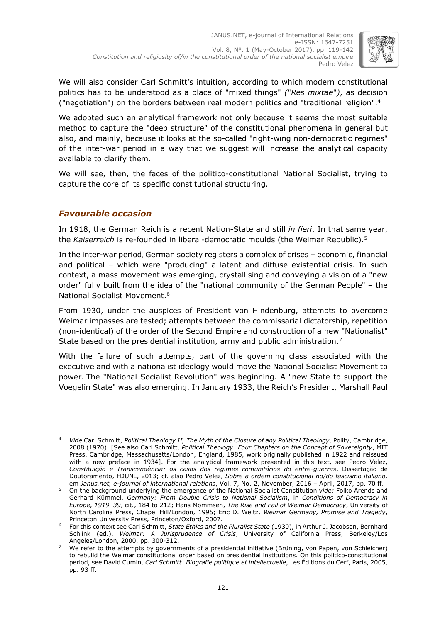

We will also consider Carl Schmitt's intuition, according to which modern constitutional politics has to be understood as a place of "mixed things" *(*"*Res mixtae*"*)*, as decision ("negotiation") on the borders between real modern politics and "traditional religion". 4

We adopted such an analytical framework not only because it seems the most suitable method to capture the "deep structure" of the constitutional phenomena in general but also, and mainly, because it looks at the so-called "right-wing non-democratic regimes" of the inter-war period in a way that we suggest will increase the analytical capacity available to clarify them.

We will see, then, the faces of the politico-constitutional National Socialist, trying to capture the core of its specific constitutional structuring.

## *Favourable occasion*

In 1918, the German Reich is a recent Nation-State and still *in fieri*. In that same year, the *Kaiserreich* is re-founded in liberal-democratic moulds (the Weimar Republic). 5

In the inter-war period, German society registers a complex of crises – economic, financial and political – which were "producing" a latent and diffuse existential crisis. In such context, a mass movement was emerging, crystallising and conveying a vision of a "new order" fully built from the idea of the "national community of the German People" – the National Socialist Movement. 6

From 1930, under the auspices of President von Hindenburg, attempts to overcome Weimar impasses are tested; attempts between the commissarial dictatorship, repetition (non-identical) of the order of the Second Empire and construction of a new "Nationalist" State based on the presidential institution, army and public administration.<sup>7</sup>

With the failure of such attempts, part of the governing class associated with the executive and with a nationalist ideology would move the National Socialist Movement to power. The "National Socialist Revolution" was beginning. A "new State to support the Voegelin State" was also emerging. In January 1933, the Reich's President, Marshall Paul

<sup>-</sup><sup>4</sup> *Vide* Carl Schmitt, *Political Theology II, The Myth of the Closure of any Political Theology*, Polity, Cambridge, 2008 (1970). [See also Carl Schmitt, *Political Theology: Four Chapters on the Concept of Sovereignty*, MIT Press, Cambridge, Massachusetts/London, England, 1985, work originally published in 1922 and reissued with a new preface in 1934]. For the analytical framework presented in this text, see Pedro Velez, *Constituição e Transcendência: os casos dos regimes comunitários do entre-guerras*, Dissertação de Doutoramento, FDUNL, 2013; cf. also Pedro Velez, *Sobre a ordem constitucional no/do fascismo italiano,*  em *Janus.net, e-journal of international relations*, Vol. 7, No. 2, November, 2016 – April, 2017, pp. 70 ff.

<sup>5</sup> On the background underlying the emergence of the National Socialist Constitution v*ide:* Folko Arends and Gerhard Kümmel, *Germany: From Double Crisis to National Socialism*, in *Conditions of Democracy in Europe, 1919–39*, cit., 184 to 212; Hans Mommsen, *The Rise and Fall of Weimar Democracy*, University of North Carolina Press, Chapel Hill/London, 1995; Eric D. Weitz, *Weimar Germany, Promise and Tragedy*, Princeton University Press, Princeton/Oxford, 2007.

<sup>6</sup> For this context see Carl Schmitt, *State Ethics and the Pluralist State* (1930), in Arthur J. Jacobson, Bernhard Schlink (ed.), *Weimar: A Jurisprudence of Crisis*, University of California Press, Berkeley/Los Angeles/London, 2000, pp. 300-312.

<sup>7</sup> We refer to the attempts by governments of a presidential initiative (Brüning, von Papen, von Schleicher) to rebuild the Weimar constitutional order based on presidential institutions. On this politico-constitutional period, see David Cumin, *Carl Schmitt: Biografie politique et intellectuelle*, Les Éditions du Cerf, Paris, 2005, pp. 93 ff.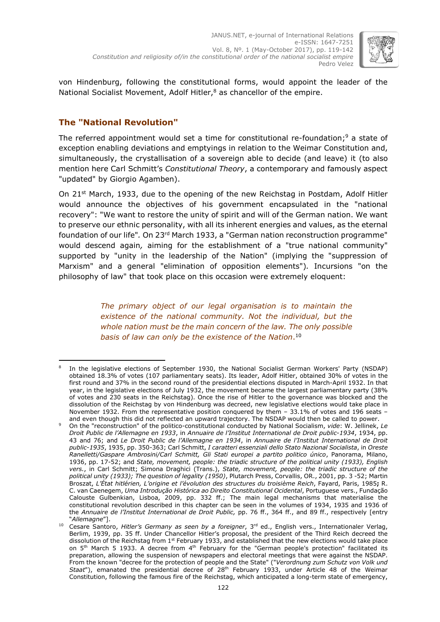

von Hindenburg, following the constitutional forms, would appoint the leader of the National Socialist Movement, Adolf Hitler,<sup>8</sup> as chancellor of the empire.

## **The "National Revolution"**

The referred appointment would set a time for constitutional re-foundation; <sup>9</sup> a state of exception enabling deviations and emptyings in relation to the Weimar Constitution and, simultaneously, the crystallisation of a sovereign able to decide (and leave) it (to also mention here Carl Schmitt's *Constitutional Theory*, a contemporary and famously aspect "updated" by Giorgio Agamben).

On 21<sup>st</sup> March, 1933, due to the opening of the new Reichstag in Postdam, Adolf Hitler would announce the objectives of his government encapsulated in the "national recovery": "We want to restore the unity of spirit and will of the German nation. We want to preserve our ethnic personality, with all its inherent energies and values, as the eternal foundation of our life"*.* On 23rd March 1933, a "German nation reconstruction programme" would descend again*,* aiming for the establishment of a "true national community" supported by "unity in the leadership of the Nation" (implying the "suppression of Marxism" and a general "elimination of opposition elements")*.* Incursions "on the philosophy of law" that took place on this occasion were extremely eloquent:

> *The primary object of our legal organisation is to maintain the existence of the national community. Not the individual, but the whole nation must be the main concern of the law. The only possible basis of law can only be the existence of the Nation*. 10

<sup>-</sup>8 In the legislative elections of September 1930, the National Socialist German Workers' Party (NSDAP) obtained 18.3% of votes (107 parliamentary seats). Its leader, Adolf Hitler, obtained 30% of votes in the first round and 37% in the second round of the presidential elections disputed in March-April 1932. In that year, in the legislative elections of July 1932, the movement became the largest parliamentary party (38% of votes and 230 seats in the Reichstag). Once the rise of Hitler to the governance was blocked and the dissolution of the Reichstag by von Hindenburg was decreed, new legislative elections would take place in November 1932. From the representative position conquered by them – 33.1% of votes and 196 seats – and even though this did not reflected an upward trajectory. The NSDAP would then be called to power.

<sup>9</sup> On the "reconstruction" of the politico-constitutional conducted by National Socialism, *vide*: W. Jellinek, *Le Droit Public de l'Allemagne en 1933*, in *Annuaire de l'Institut International de Droit public*-*1934*, 1934, pp. 43 and 76; and *Le Droit Public de l'Allemagne en 1934*, in *Annuaire de l'Institut International de Droit public*-*1935*, 1935, pp. 350-363; Carl Schmitt, *I caratteri essenziali dello Stato Nazional Socialista*, in *Oreste Ranelletti/Gaspare Ambrosini/Carl Schmitt, Gli Stati europei a partito politico único*, Panorama, Milano, 1936, pp. 17-52; and *State, movement, people: the triadic structure of the political unity (1933), English vers.*, in Carl Schmitt; Simona Draghici (Trans.), *State, movement, people: the triadic structure of the political unity (1933); The question of legality (1950)*, Plutarch Press, Corvallis, OR., 2001, pp. 3 -52; Martin Broszat, *L'État hitlérien, L'origine et l'évolution des structures du troisième Reich*, Fayard, Paris, 1985**;** R. C. van Caenegem, *Uma Introdução Histórica ao Direito Constitutional Ocidental*, Portuguese vers., Fundação Calouste Gulbenkian, Lisboa, 2009, pp. 332 ff.; The main legal mechanisms that materialise the constitutional revolution described in this chapter can be seen in the volumes of 1934, 1935 and 1936 of the *Annuaire de l'Institut International de Droit Public,* pp. 76 ff., 364 ff., and 89 ff., respectively [entry "*Allemagne*"].

<sup>10</sup> Cesare Santoro, *Hitler's Germany as seen by a foreigner*, 3 rd ed., English vers., Internationaler Verlag, Berlim, 1939, pp. 35 ff. Under Chancellor Hitler's proposal, the president of the Third Reich decreed the dissolution of the Reichstag from 1<sup>st</sup> February 1933, and established that the new elections would take place on 5<sup>th</sup> March 5 1933. A decree from 4<sup>th</sup> February for the "German people's protection" facilitated its preparation, allowing the suspension of newspapers and electoral meetings that were against the NSDAP. From the known "decree for the protection of people and the State" ("*Verordnung zum Schutz von Volk und Staat*"), emanated the presidential decree of 28th February 1933, under Article 48 of the Weimar Constitution, following the famous fire of the Reichstag, which anticipated a long-term state of emergency,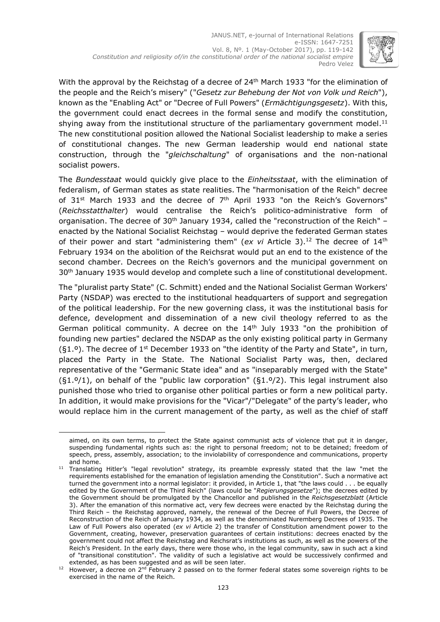

With the approval by the Reichstag of a decree of  $24<sup>th</sup>$  March 1933 "for the elimination of the people and the Reich's misery" ("*Gesetz zur Behebung der Not von Volk und Reich*"), known as the "Enabling Act" or "Decree of Full Powers" (*Ermächtigungsgesetz*). With this, the government could enact decrees in the formal sense and modify the constitution, shying away from the institutional structure of the parliamentary government model.<sup>11</sup> The new constitutional position allowed the National Socialist leadership to make a series of constitutional changes. The new German leadership would end national state construction, through the "*gleichschaltung*" of organisations and the non-national socialist powers.

The *Bundesstaat* would quickly give place to the *Einheitsstaat*, with the elimination of federalism, of German states as state realities. The "harmonisation of the Reich" decree of 31<sup>st</sup> March 1933 and the decree of 7<sup>th</sup> April 1933 "on the Reich's Governors" (*Reichsstatthalter*) would centralise the Reich's politico-administrative form of organisation. The decree of  $30<sup>th</sup>$  January 1934, called the "reconstruction of the Reich" – enacted by the National Socialist Reichstag – would deprive the federated German states of their power and start "administering them" (*ex vi* Article 3). <sup>12</sup> The decree of 14th February 1934 on the abolition of the Reichsrat would put an end to the existence of the second chamber. Decrees on the Reich's governors and the municipal government on 30<sup>th</sup> January 1935 would develop and complete such a line of constitutional development.

The "pluralist party State" (C. Schmitt) ended and the National Socialist German Workers' Party (NSDAP) was erected to the institutional headquarters of support and segregation of the political leadership. For the new governing class, it was the institutional basis for defence, development and dissemination of a new civil theology referred to as the German political community. A decree on the  $14<sup>th</sup>$  July 1933 "on the prohibition of founding new parties" declared the NSDAP as the only existing political party in Germany (§1.º). The decree of 1<sup>st</sup> December 1933 on "the identity of the Party and State", in turn, placed the Party in the State. The National Socialist Party was, then, declared representative of the "Germanic State idea" and as "inseparably merged with the State"  $(§1.9/1)$ , on behalf of the "public law corporation"  $(§1.9/2)$ . This legal instrument also punished those who tried to organise other political parties or form a new political party. In addition, it would make provisions for the "Vicar"/"Delegate" of the party's leader, who would replace him in the current management of the party, as well as the chief of staff

aimed, on its own terms, to protect the State against communist acts of violence that put it in danger, suspending fundamental rights such as: the right to personal freedom; not to be detained; freedom of speech, press, assembly, association; to the inviolability of correspondence and communications, property and home.

<sup>&</sup>lt;sup>11</sup> Translating Hitler's "legal revolution" strategy, its preamble expressly stated that the law "met the requirements established for the emanation of legislation amending the Constitution". Such a normative act turned the government into a normal legislator: it provided, in Article 1, that "the laws could . . . be equally edited by the Government of the Third Reich" (laws could be "*Regierungsgesetze*"); the decrees edited by the Government should be promulgated by the Chancellor and published in the *Reichsgesetzblatt* (Article 3). After the emanation of this normative act, very few decrees were enacted by the Reichstag during the Third Reich – the Reichstag approved, namely, the renewal of the Decree of Full Powers, the Decree of Reconstruction of the Reich of January 1934, as well as the denominated Nuremberg Decrees of 1935. The Law of Full Powers also operated (*ex vi* Article 2) the transfer of Constitution amendment power to the Government, creating, however, preservation guarantees of certain institutions: decrees enacted by the government could not affect the Reichstag and Reichsrat's institutions as such, as well as the powers of the Reich's President. In the early days, there were those who, in the legal community, saw in such act a kind of "transitional constitution". The validity of such a legislative act would be successively confirmed and extended, as has been suggested and as will be seen later.

 $12$  However, a decree on 2<sup>nd</sup> February 2 passed on to the former federal states some sovereign rights to be exercised in the name of the Reich.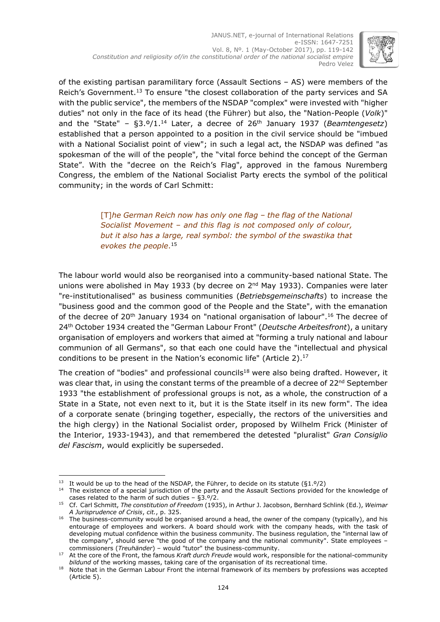

of the existing partisan paramilitary force (Assault Sections – AS) were members of the Reich's Government.<sup>13</sup> To ensure "the closest collaboration of the party services and SA with the public service", the members of the NSDAP "complex" were invested with "higher duties" not only in the face of its head (the Führer) but also, the "Nation-People (*Volk*)" and the "State" – §3.º/1. <sup>14</sup> Later, a decree of 26th January 1937 (*Beamtengesetz*) established that a person appointed to a position in the civil service should be "imbued with a National Socialist point of view"; in such a legal act, the NSDAP was defined "as spokesman of the will of the people", the "vital force behind the concept of the German State". With the "decree on the Reich's Flag", approved in the famous Nuremberg Congress, the emblem of the National Socialist Party erects the symbol of the political community; in the words of Carl Schmitt:

> [T]*he German Reich now has only one flag – the flag of the National Socialist Movement – and this flag is not composed only of colour, but it also has a large, real symbol: the symbol of the swastika that evokes the people*. 15

The labour world would also be reorganised into a community-based national State. The unions were abolished in May 1933 (by decree on  $2^{nd}$  May 1933). Companies were later "re-institutionalised" as business communities (*Betriebsgemeinschafts*) to increase the "business good and the common good of the People and the State", with the emanation of the decree of 20<sup>th</sup> January 1934 on "national organisation of labour".<sup>16</sup> The decree of 24th October 1934 created the "German Labour Front" (*Deutsche Arbeitesfront*), a unitary organisation of employers and workers that aimed at "forming a truly national and labour communion of all Germans", so that each one could have the "intellectual and physical conditions to be present in the Nation's economic life" (Article 2). 17

The creation of "bodies" and professional councils<sup>18</sup> were also being drafted. However, it was clear that, in using the constant terms of the preamble of a decree of  $22^{nd}$  September 1933 "the establishment of professional groups is not, as a whole, the construction of a State in a State, not even next to it, but it is the State itself in its new form". The idea of a corporate senate (bringing together, especially, the rectors of the universities and the high clergy) in the National Socialist order, proposed by Wilhelm Frick (Minister of the Interior, 1933-1943), and that remembered the detested "pluralist" *Gran Consiglio del Fascism*, would explicitly be superseded.

<sup>-</sup><sup>13</sup> It would be up to the head of the NSDAP, the Führer, to decide on its statute ( $\S1.9/2$ )

<sup>&</sup>lt;sup>14</sup> The existence of a special jurisdiction of the party and the Assault Sections provided for the knowledge of cases related to the harm of such duties – §3.º/2.

<sup>15</sup> Cf. Carl Schmitt, *The constitution of Freedom* (1935), in Arthur J. Jacobson, Bernhard Schlink (Ed.), *Weimar A Jurisprudence of Crisis*, *cit.*, p. 325.

<sup>&</sup>lt;sup>16</sup> The business-community would be organised around a head, the owner of the company (typically), and his entourage of employees and workers. A board should work with the company heads, with the task of developing mutual confidence within the business community. The business regulation, the "internal law of the company", should serve "the good of the company and the national community". State employees – commissioners (*Treuhänder*) – would "tutor" the business-community.

<sup>17</sup> At the core of the Front, the famous *Kraft durch Freude* would work, responsible for the national-community *bildund* of the working masses, taking care of the organisation of its recreational time.

<sup>18</sup> Note that in the German Labour Front the internal framework of its members by professions was accepted (Article 5).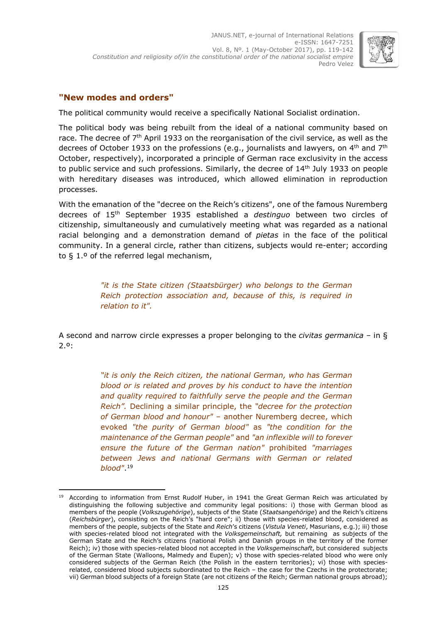

## **"New modes and orders"**

The political community would receive a specifically National Socialist ordination.

The political body was being rebuilt from the ideal of a national community based on race. The decree of 7<sup>th</sup> April 1933 on the reorganisation of the civil service, as well as the decrees of October 1933 on the professions (e.g., journalists and lawyers, on 4th and 7th October, respectively), incorporated a principle of German race exclusivity in the access to public service and such professions. Similarly, the decree of  $14<sup>th</sup>$  July 1933 on people with hereditary diseases was introduced, which allowed elimination in reproduction processes.

With the emanation of the "decree on the Reich's citizens", one of the famous Nuremberg decrees of 15th September 1935 established a *destinguo* between two circles of citizenship, simultaneously and cumulatively meeting what was regarded as a national racial belonging and a demonstration demand of *pietas* in the face of the political community. In a general circle, rather than citizens, subjects would re-enter; according to § 1.º of the referred legal mechanism,

> *"it is the State citizen (Staatsbürger) who belongs to the German Reich protection association and, because of this, is required in relation to it".*

A second and narrow circle expresses a proper belonging to the *civitas germanica* – in § 2.º:

> *"it is only the Reich citizen, the national German, who has German blood or is related and proves by his conduct to have the intention and quality required to faithfully serve the people and the German Reich".* Declining a similar principle, the *"decree for the protection of German blood and honour"* – another Nuremberg decree, which evoked *"the purity of German blood"* as *"the condition for the maintenance of the German people"* and *"an inflexible will to forever ensure the future of the German nation"* prohibited *"marriages between Jews and national Germans with German or related blood"*. 19

<sup>-</sup>According to information from Ernst Rudolf Huber, in 1941 the Great German Reich was articulated by distinguishing the following subjective and community legal positions: i) those with German blood as members of the people (*Volkszugehörige*), subjects of the State (*Staatsangehörige*) and the Reich's citizens (*Reichsbürger*), consisting on the Reich's "hard core"; ii) those with species-related blood, considered as members of the people, subjects of the State and *Reich*'s citizens (*Vistula Veneti*, Masurians, e.g.); iii) those with species-related blood not integrated with the *Volksgemeinschaft,* but remaining as subjects of the German State and the Reich's citizens (national Polish and Danish groups in the territory of the former Reich); iv) those with species-related blood not accepted in the *Volksgemeinschaft*, but considered subjects of the German State (Walloons, Malmedy and Eupen); v) those with species-related blood who were only considered subjects of the German Reich (the Polish in the eastern territories); vi) those with speciesrelated, considered blood subjects subordinated to the Reich – the case for the Czechs in the protectorate; vii) German blood subjects of a foreign State (are not citizens of the Reich; German national groups abroad);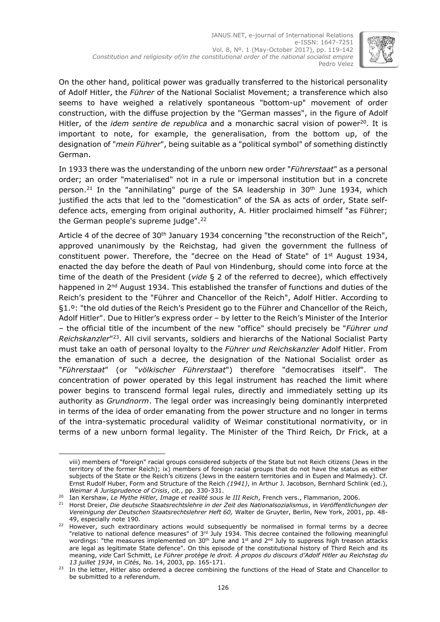

On the other hand, political power was gradually transferred to the historical personality of Adolf Hitler, the *Führer* of the National Socialist Movement; a transference which also seems to have weighed a relatively spontaneous "bottom-up" movement of order construction, with the diffuse projection by the "German masses", in the figure of Adolf Hitler, of the *idem sentire de republica* and a monarchic sacral vision of power<sup>20</sup>. It is important to note, for example, the generalisation, from the bottom up, of the designation of "*mein Führer*", being suitable as a "political symbol" of something distinctly German.

In 1933 there was the understanding of the unborn new order "*Führerstaat*" as a personal order; an order "materialised" not in a rule or impersonal institution but in a concrete person.<sup>21</sup> In the "annihilating" purge of the SA leadership in 30<sup>th</sup> June 1934, which justified the acts that led to the "domestication" of the SA as acts of order, State selfdefence acts, emerging from original authority, A. Hitler proclaimed himself "as Führer; the German people's supreme judge". 22

Article 4 of the decree of 30<sup>th</sup> January 1934 concerning "the reconstruction of the Reich", approved unanimously by the Reichstag, had given the government the fullness of constituent power. Therefore, the "decree on the Head of State" of 1<sup>st</sup> August 1934, enacted the day before the death of Paul von Hindenburg, should come into force at the time of the death of the President (*vide* § 2 of the referred to decree), which effectively happened in 2<sup>nd</sup> August 1934. This established the transfer of functions and duties of the Reich's president to the "Führer and Chancellor of the Reich", Adolf Hitler. According to §1.º: "the old duties of the Reich's President go to the Führer and Chancellor of the Reich, Adolf Hitler". Due to Hitler's express order – by letter to the Reich's Minister of the Interior – the official title of the incumbent of the new "office" should precisely be "*Führer und* Reichskanzler"<sup>23</sup>. All civil servants, soldiers and hierarchs of the National Socialist Party must take an oath of personal loyalty to the *Führer und Reichskanzler* Adolf Hitler. From the emanation of such a decree, the designation of the National Socialist order as "*Führerstaat*" (or "*völkischer Führerstaat*") therefore "democratises itself". The concentration of power operated by this legal instrument has reached the limit where power begins to transcend formal legal rules, directly and immediately setting up its authority as *Grundnorm*. The legal order was increasingly being dominantly interpreted in terms of the idea of order emanating from the power structure and no longer in terms of the intra-systematic procedural validity of Weimar constitutional normativity, or in terms of a new unborn formal legality. The Minister of the Third Reich*,* Dr Frick, at a

viii) members of "foreign" racial groups considered subjects of the State but not Reich citizens (Jews in the territory of the former Reich); ix) members of foreign racial groups that do not have the status as either subjects of the State or the Reich's citizens (Jews in the eastern territories and in Eupen and Malmedy). Cf. Ernst Rudolf Huber, Form and Structure of the Reich *(1941)*, in Arthur J. Jacobson, Bernhard Schlink (ed.), *Weimar A Jurisprudence of Crisis*, *cit.*, pp. 330-331.

<sup>20</sup> Ian Kershaw, *Le Mythe Hitler, Image et realité sous le III Reich*, French vers., Flammarion, 2006.

<sup>21</sup> Horst Dreier, *Die deutsche Staatsrechtslehre in der Zeit des Nationalsozialismus*, in *Veröffentlichungen der Vereinigung der Deutschen Staatsrechtslehrer Heft 60,* Walter de Gruyter, Berlin, New York, 2001, pp. 48- 49, especially note 190.

 $22$  However, such extraordinary actions would subsequently be normalised in formal terms by a decree "relative to national defence measures" of 3<sup>rd</sup> July 1934. This decree contained the following meaningful wordings: "the measures implemented on 30<sup>th</sup> June and 1<sup>st</sup> and 2<sup>nd</sup> July to suppress high treason attacks are legal as legitimate State defence". On this episode of the constitutional history of Third Reich and its meaning, *vide* Carl Schmitt, *Le Führer protège le droit. À propos du discours d'Adolf Hitler au Reichstag du 13 juillet 1934*, in *Cités*, No. 14, 2003, pp. 165-171.

<sup>&</sup>lt;sup>23</sup> In the letter, Hitler also ordered a decree combining the functions of the Head of State and Chancellor to be submitted to a referendum.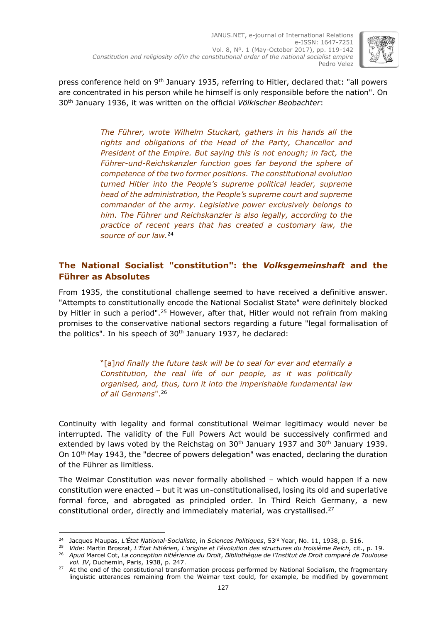

press conference held on 9<sup>th</sup> January 1935, referring to Hitler, declared that: "all powers are concentrated in his person while he himself is only responsible before the nation". On 30th January 1936, it was written on the official *Völkischer Beobachter*:

> *The Führer, wrote Wilhelm Stuckart, gathers in his hands all the rights and obligations of the Head of the Party, Chancellor and President of the Empire. But saying this is not enough; in fact, the Führer-und-Reichskanzler function goes far beyond the sphere of competence of the two former positions. The constitutional evolution turned Hitler into the People's supreme political leader, supreme head of the administration, the People's supreme court and supreme commander of the army. Legislative power exclusively belongs to him. The Führer und Reichskanzler is also legally, according to the practice of recent years that has created a customary law, the source of our law.* 24

## **The National Socialist "constitution": the** *Volksgemeinshaft* **and the Führer as Absolutes**

From 1935, the constitutional challenge seemed to have received a definitive answer. "Attempts to constitutionally encode the National Socialist State" were definitely blocked by Hitler in such a period".<sup>25</sup> However, after that, Hitler would not refrain from making promises to the conservative national sectors regarding a future "legal formalisation of the politics". In his speech of  $30<sup>th</sup>$  January 1937, he declared:

> "[a]*nd finally the future task will be to seal for ever and eternally a Constitution, the real life of our people, as it was politically organised, and, thus, turn it into the imperishable fundamental law of all Germans*". 26

Continuity with legality and formal constitutional Weimar legitimacy would never be interrupted. The validity of the Full Powers Act would be successively confirmed and extended by laws voted by the Reichstag on 30<sup>th</sup> January 1937 and 30<sup>th</sup> January 1939. On 10<sup>th</sup> May 1943, the "decree of powers delegation" was enacted, declaring the duration of the Führer as limitless.

The Weimar Constitution was never formally abolished – which would happen if a new constitution were enacted – but it was un-constitutionalised, losing its old and superlative formal force, and abrogated as principled order. In Third Reich Germany, a new constitutional order, directly and immediately material, was crystallised. 27

<sup>24</sup> Jacques Maupas, *L'État National-Socialiste*, in *Sciences Politiques*, 53rd Year, No. 11, 1938, p. 516.

<sup>25</sup> *Vide*: Martin Broszat, *L'État hitlérien, L'origine et l'évolution des structures du troisième Reich,* cit., p. 19.

<sup>26</sup> *Apud* Marcel Cot, *La conception hitlérienne du Droit*, *Bibliothèque de l'Institut de Droit comparé de Toulouse vol. IV*, Duchemin, Paris, 1938, p. 247.

<sup>&</sup>lt;sup>27</sup> At the end of the constitutional transformation process performed by National Socialism, the fragmentary linguistic utterances remaining from the Weimar text could, for example, be modified by government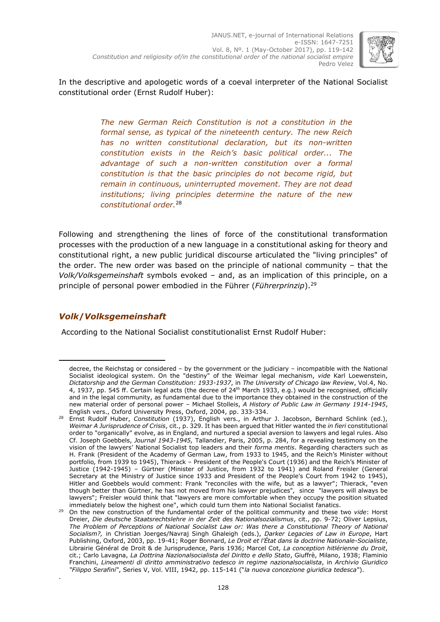

In the descriptive and apologetic words of a coeval interpreter of the National Socialist constitutional order (Ernst Rudolf Huber):

> *The new German Reich Constitution is not a constitution in the formal sense, as typical of the nineteenth century. The new Reich has no written constitutional declaration, but its non-written constitution exists in the Reich's basic political order... The advantage of such a non-written constitution over a formal constitution is that the basic principles do not become rigid, but remain in continuous, uninterrupted movement. They are not dead institutions; living principles determine the nature of the new constitutional order.* 28

Following and strengthening the lines of force of the constitutional transformation processes with the production of a new language in a constitutional asking for theory and constitutional right, a new public juridical discourse articulated the "living principles" of the order. The new order was based on the principle of national community – that the *Volk/Volksgemeinshaft* symbols evoked – and, as an implication of this principle, on a principle of personal power embodied in the Führer (*Führerprinzip*). 29

# *Volk***/***Volksgemeinshaft*

-

.

According to the National Socialist constitutionalist Ernst Rudolf Huber:

decree, the Reichstag or considered – by the government or the judiciary – incompatible with the National Socialist ideological system. On the "destiny" of the Weimar legal mechanism, *vide* Karl Loewenstein, *Dictatorship and the German Constitution: 1933-1937*, in *The University of Chicago law Review*, Vol.4, No. 4, 1937, pp. 545 ff. Certain legal acts (the decree of 24th March 1933, e.g.) would be recognised, officially and in the legal community, as fundamental due to the importance they obtained in the construction of the new material order of personal power – Michael Stolleis, *A History of Public Law in Germany 1914-1945*, English vers., Oxford University Press, Oxford, 2004, pp. 333-334.

<sup>28</sup> Ernst Rudolf Huber, *Constitution* (1937), English vers., in Arthur J. Jacobson, Bernhard Schlink (ed.), *Weimar A Jurisprudence of Crisis*, cit., p. 329. It has been argued that Hitler wanted the *in fieri* constitutional order to "organically" evolve, as in England, and nurtured a special aversion to lawyers and legal rules. Also Cf. Joseph Goebbels, *Journal 1943-1945,* Tallandier, Paris, 2005, p. 284, for a revealing testimony on the vision of the lawyers' National Socialist top leaders and their *forma mentis*. Regarding characters such as H. Frank (President of the Academy of German Law, from 1933 to 1945, and the Reich's Minister without portfolio*,* from 1939 to 1945), Thierack – President of the People's Court (1936) and the Reich's Minister of Justice (1942-1945) – Gürtner (Minister of Justice, from 1932 to 1941) and Roland Freisler (General Secretary at the Ministry of Justice since 1933 and President of the People's Court from 1942 to 1945), Hitler and Goebbels would comment: Frank "reconciles with the wife, but as a lawyer"; Thierack, "even though better than Gürtner, he has not moved from his lawyer prejudices"*,* since "lawyers will always be lawyers"; Freisler would think that "lawyers are more comfortable when they occupy the position situated immediately below the highest one", which could turn them into National Socialist fanatics.

<sup>29</sup> On the new construction of the fundamental order of the political community and these two *vide*: Horst Dreier, *Die deutsche Staatsrechtslehre in der Zeit des Nationalsozialismus*, cit., pp. 9-72; Oliver Lepsius, The Problem of Perceptions of National Socialist Law or: Was there a Constitutional Theory of National *Socialism?,* in Christian Joerges/Navraj Singh Ghaleigh (eds.), *Darker Legacies of Law in Europe*, Hart Publishing, Oxford, 2003, pp. 19-41; Roger Bonnard, *Le Droit et l'État dans la doctrine Nationale-Socialiste*, Librairie Général de Droit & de Jurisprudence, Paris 1936; Marcel Cot, *La conception hitlérienne du Droit*, cit.; Carlo Lavagna, *La Dottrina Nazionalsocialista del Diritto e dello Stato*, Giuffrè, Milano, 1938; Flaminio Franchini, *Lineamenti di diritto amministrativo tedesco in regime nazionalsocialista*, in *Archivio Giuridico "Filippo Serafini"*, Series V, Vol. VIII, 1942, pp. 115-141 ("*la nuova concezione giuridica tedesca"*).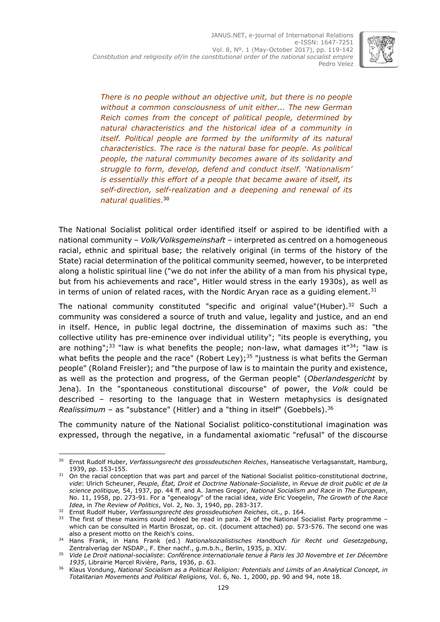

*There is no people without an objective unit, but there is no people without a common consciousness of unit either... The new German Reich comes from the concept of political people, determined by natural characteristics and the historical idea of a community in itself. Political people are formed by the uniformity of its natural characteristics. The race is the natural base for people. As political people, the natural community becomes aware of its solidarity and struggle to form, develop, defend and conduct itself. 'Nationalism' is essentially this effort of a people that became aware of itself, its self-direction, self-realization and a deepening and renewal of its natural qualities*. 30

The National Socialist political order identified itself or aspired to be identified with a national community – *Volk/Volksgemeinshaft* – interpreted as centred on a homogeneous racial, ethnic and spiritual base; the relatively original (in terms of the history of the State) racial determination of the political community seemed, however, to be interpreted along a holistic spiritual line ("we do not infer the ability of a man from his physical type, but from his achievements and race", Hitler would stress in the early 1930s), as well as in terms of union of related races, with the Nordic Aryan race as a guiding element.<sup>31</sup>

The national community constituted "specific and original value"(Huber).<sup>32</sup> Such a community was considered a source of truth and value, legality and justice, and an end in itself. Hence, in public legal doctrine, the dissemination of maxims such as: "the collective utility has pre-eminence over individual utility"; "its people is everything, you are nothing";<sup>33</sup> "law is what benefits the people; non-law, what damages it"<sup>34</sup>; "law is what befits the people and the race" (Robert Ley);<sup>35</sup> "justness is what befits the German people" (Roland Freisler); and "the purpose of law is to maintain the purity and existence, as well as the protection and progress, of the German people" (*Oberlandesgericht* by Jena)*.* In the "spontaneous constitutional discourse" of power, the *Volk* could be described – resorting to the language that in Western metaphysics is designated *Realissimum* – as "substance" (Hitler) and a "thing in itself" (Goebbels). 36

The community nature of the National Socialist politico-constitutional imagination was expressed, through the negative, in a fundamental axiomatic "refusal" of the discourse

<sup>-</sup><sup>30</sup> Ernst Rudolf Huber, *Verfassungsrecht des grossdeutschen Reiches*, Hanseatische Verlagsanstalt, Hamburg, 1939, pp. 153-155.

<sup>&</sup>lt;sup>31</sup> On the racial conception that was part and parcel of the National Socialist politico-constitutional doctrine, *vide*: Ulrich Scheuner, *Peuple, État, Droit et Doctrine Nationale-Socialiste*, in *Revue de droit public et de la science politique,* 54, 1937, pp. 44 ff. and A. James Gregor, *National Socialism and Race* in *The European*, No. 11, 1958, pp. 273-91. For a "genealogy" of the racial idea, *vide* Eric Voegelin, *The Growth of the Race Idea*, in *The Review of Politics*, Vol. 2, No. 3, 1940, pp. 283-317.

<sup>32</sup> Ernst Rudolf Huber, *Verfassungsrecht des grossdeutschen Reiches*, cit., p. 164.

<sup>33</sup> The first of these maxims could indeed be read in para. 24 of the National Socialist Party programme which can be consulted in Martin Broszat, op. cit. (document attached) pp. 573-576. The second one was also a present motto on the Reich's coins.

<sup>34</sup> Hans Frank, in Hans Frank (ed.) *Nationalsozialistisches Handbuch für Recht und Gesetzgebung*, Zentralverlag der NSDAP., F. Eher nachf., g.m.b.h., Berlin, 1935, p. XIV.

<sup>35</sup> *Vide Le Droit national-socialiste*: *Conférence internationale tenue à Paris les 30 Novembre et 1er Décembre 1935*, Librairie Marcel Rivière, Paris, 1936, p. 63.

<sup>36</sup> Klaus Vondung, *National Socialism as a Political Religion: Potentials and Limits of an Analytical Concept, in Totalitarian Movements and Political Religions,* Vol. 6, No. 1, 2000, pp. 90 and 94, note 18.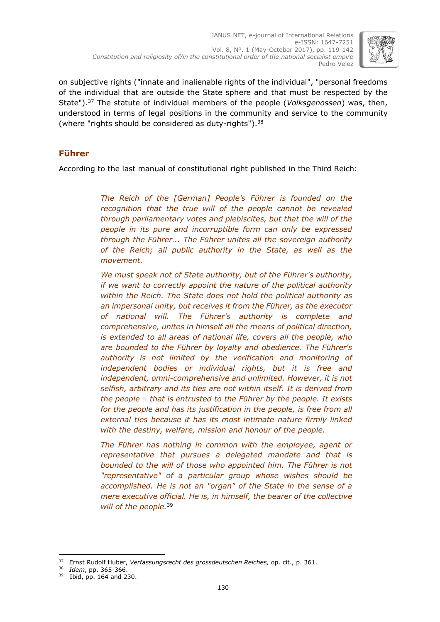

on subjective rights ("innate and inalienable rights of the individual", "personal freedoms of the individual that are outside the State sphere and that must be respected by the State"). <sup>37</sup> The statute of individual members of the people (*Volksgenossen*) was, then, understood in terms of legal positions in the community and service to the community (where "rights should be considered as duty-rights").<sup>38</sup>

## **Führer**

According to the last manual of constitutional right published in the Third Reich:

*The Reich of the [German] People's Führer is founded on the recognition that the true will of the people cannot be revealed through parliamentary votes and plebiscites, but that the will of the people in its pure and incorruptible form can only be expressed through the Führer... The Führer unites all the sovereign authority of the Reich; all public authority in the State, as well as the movement.*

*We must speak not of State authority, but of the Führer's authority, if we want to correctly appoint the nature of the political authority within the Reich. The State does not hold the political authority as an impersonal unity, but receives it from the Führer, as the executor of national will. The Führer's authority is complete and comprehensive, unites in himself all the means of political direction, is extended to all areas of national life, covers all the people, who are bounded to the Führer by loyalty and obedience. The Führer's authority is not limited by the verification and monitoring of independent bodies or individual rights, but it is free and independent, omni-comprehensive and unlimited. However, it is not selfish, arbitrary and its ties are not within itself. It is derived from the people – that is entrusted to the Führer by the people. It exists for the people and has its justification in the people, is free from all external ties because it has its most intimate nature firmly linked with the destiny, welfare, mission and honour of the people.*

*The Führer has nothing in common with the employee, agent or representative that pursues a delegated mandate and that is bounded to the will of those who appointed him. The Führer is not "representative" of a particular group whose wishes should be accomplished. He is not an "organ" of the State in the sense of a mere executive official. He is, in himself, the bearer of the collective will of the people.*<sup>39</sup>

<sup>37</sup> Ernst Rudolf Huber, *Verfassungsrecht des grossdeutschen Reiches,* op. cit., p. 361.

<sup>38</sup> *Idem*, pp. 365-366.

<sup>39</sup> Ibid, pp. 164 and 230.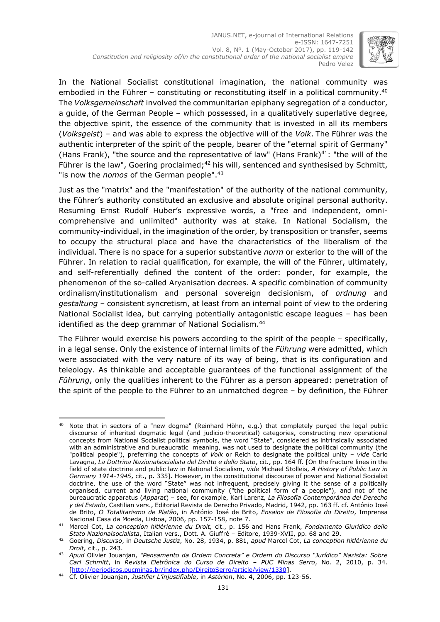

In the National Socialist constitutional imagination, the national community was embodied in the Führer – constituting or reconstituting itself in a political community.<sup>40</sup> The *Volksgemeinschaft* involved the communitarian epiphany segregation of a conductor, a guide, of the German People – which possessed, in a qualitatively superlative degree, the objective spirit, the essence of the community that is invested in all its members (*Volksgeist*) – and was able to express the objective will of the *Volk*. The Führer *w*as the authentic interpreter of the spirit of the people, bearer of the "eternal spirit of Germany" (Hans Frank), "the source and the representative of law" (Hans Frank)<sup>41</sup>: "the will of the Führer is the law", Goering proclaimed;<sup>42</sup> his will, sentenced and synthesised by Schmitt, "is now the *nomos* of the German people". 43

Just as the "matrix" and the "manifestation" of the authority of the national community, the Führer's authority constituted an exclusive and absolute original personal authority. Resuming Ernst Rudolf Huber's expressive words, a "free and independent, omnicomprehensive and unlimited" authority was at stake*.* In National Socialism, the community-individual, in the imagination of the order, by transposition or transfer, seems to occupy the structural place and have the characteristics of the liberalism of the individual. There is no space for a superior substantive *norm* or exterior to the will of the Führer. In relation to racial qualification, for example, the will of the Führer, ultimately, and self-referentially defined the content of the order: ponder, for example, the phenomenon of the so-called Aryanisation decrees. A specific combination of community ordinalism/institutionalism and personal sovereign decisionism, of *ordnung* and *gestaltung –* consistent syncretism, at least from an internal point of view to the ordering National Socialist idea, but carrying potentially antagonistic escape leagues – has been identified as the deep grammar of National Socialism. 44

The Führer would exercise his powers according to the spirit of the people – specifically, in a legal sense. Only the existence of internal limits of the *Führung* were admitted, which were associated with the very nature of its way of being, that is its configuration and teleology. As thinkable and acceptable guarantees of the functional assignment of the *Führung*, only the qualities inherent to the Führer as a person appeared: penetration of the spirit of the people to the Führer to an unmatched degree – by definition, the Führer

<sup>-</sup> $^{40}$  Note that in sectors of a "new dogma" (Reinhard Höhn, e.g.) that completely purged the legal public discourse of inherited dogmatic legal (and judicio-theoretical) categories, constructing new operational concepts from National Socialist political symbols, the word "State", considered as intrinsically associated with an administrative and bureaucratic meaning, was not used to designate the political community (the "political people"), preferring the concepts of *Volk* or Reich to designate the political unity – *vide* Carlo Lavagna, *La Dottrina Nazionalsocialista del Diritto e dello Stato*, cit., pp. 164 ff. [On the fracture lines in the field of state doctrine and public law in National Socialism, *vide* Michael Stolleis, *A History of Public Law in Germany 1914-1945*, cit., p. 335]. However, in the constitutional discourse of power and National Socialist doctrine, the use of the word "State" was not infrequent, precisely giving it the sense of a politically organised, current and living national community ("the political form of a people"), and not of the bureaucratic apparatus (*Apparat*) – see, for example, Karl Larenz*, La Filosofía Contemporánea del Derecho y del Estado*, Castilian vers., Editorial Revista de Derecho Privado, Madrid, 1942, pp. 163 ff. cf. António José de Brito, *O Totalitarismo de Platão*, in António José de Brito, *Ensaios de Filosofia do Direito*, Imprensa Nacional Casa da Moeda, Lisboa, 2006, pp. 157-158, note 7.

<sup>41</sup> Marcel Cot, *La conception hitlérienne du Droit,* cit., p. 156 and Hans Frank, *Fondamento Giuridico dello Stato Nazionalsocialista*, Italian vers., Dott. A. Giuffrè – Editore, 1939-XVII, pp. 68 and 29.

<sup>42</sup> Goering, *Discurso*, in *Deutsche Justiz*, No. 28, 1934, p. 881, *apud* Marcel Cot, *La conception hitlérienne du Droit,* cit., p. 243.

<sup>43</sup> *Apud* Olivier Jouanjan, *"Pensamento da Ordem Concreta" e Ordem do Discurso "Jurídico" Nazista: Sobre Carl Schmitt*, in *Revista Eletrônica do Curso de Direito – PUC Minas Serro*, No. 2, 2010, p. 34. [\[http://periodicos.pucminas.br/index.php/DireitoSerro/article/view/1330\]](http://periodicos.pucminas.br/index.php/DireitoSerro/article/view/1330).

<sup>44</sup> Cf. Olivier Jouanjan, *Justifier L'injustifiable*, in *Astérion*, No. 4, 2006, pp. 123-56.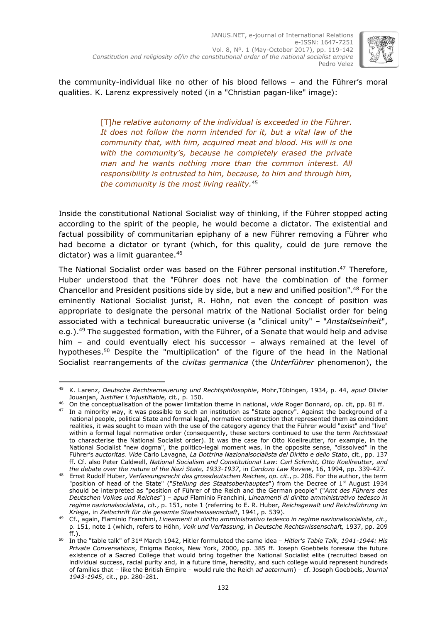

the community-individual like no other of his blood fellows – and the Führer's moral qualities. K. Larenz expressively noted (in a "Christian pagan-like" image):

> [T]*he relative autonomy of the individual is exceeded in the Führer. It does not follow the norm intended for it, but a vital law of the community that, with him, acquired meat and blood. His will is one with the community's, because he completely erased the private man and he wants nothing more than the common interest. All responsibility is entrusted to him, because, to him and through him, the community is the most living reality.* 45

Inside the constitutional National Socialist way of thinking, if the Führer stopped acting according to the spirit of the people, he would become a dictator. The existential and factual possibility of communitarian epiphany of a new Führer removing a Führer who had become a dictator or tyrant (which, for this quality, could de jure remove the dictator) was a limit guarantee.<sup>46</sup>

The National Socialist order was based on the Führer personal institution. <sup>47</sup> Therefore, Huber understood that the "Führer does not have the combination of the former Chancellor and President positions side by side, but a new and unified position". <sup>48</sup> For the eminently National Socialist jurist, R. Höhn, not even the concept of position was appropriate to designate the personal matrix of the National Socialist order for being associated with a technical bureaucratic universe (a "clinical unity" – "*Anstaltseinheit*", e.g.).<sup>49</sup> The suggested formation, with the Führer, of a Senate that would help and advise him – and could eventually elect his successor – always remained at the level of hypotheses. <sup>50</sup> Despite the "multiplication" of the figure of the head in the National Socialist rearrangements of the *civitas germanica* (the *Unterführer* phenomenon), the

<sup>-</sup><sup>45</sup> K. Larenz, *Deutsche Rechtserneuerung und Rechtsphilosophie*, Mohr,Tübingen, 1934, p. 44, *apud* Olivier Jouanjan, *Justifier L'injustifiable,* cit*.,* p. 150.

<sup>46</sup> On the conceptualisation of the power limitation theme in national, *vide* Roger Bonnard, op. cit, pp. 81 ff.

<sup>&</sup>lt;sup>47</sup> In a minority way, it was possible to such an institution as "State agency". Against the background of a national people, political State and formal legal, normative construction that represented them as coincident realities, it was sought to mean with the use of the category agency that the Führer would "exist" and "live" within a formal legal normative order (consequently, these sectors continued to use the term *Rechtsstaat* to characterise the National Socialist order). It was the case for Otto Koellreutter, for example, in the National Socialist "new dogma", the politico-legal moment was, in the opposite sense, "dissolved" in the Führer's *auctoritas*. *Vide* Carlo Lavagna, *La Dottrina Nazionalsocialista del Diritto e dello Stato*, cit., pp. 137 ff. Cf. also Peter Caldwell, *National Socialism and Constitutional Law: Carl Schmitt, Otto Koellreutter, and the debate over the nature of the Nazi State, 1933-1937*, in *Cardozo Law Review*, 16, 1994, pp. 339-427.

<sup>48</sup> Ernst Rudolf Huber, *Verfassungsrecht des grossdeutschen Reiches*, *op. cit.*, p. 208. For the author, the term "position of head of the State" ("*Stellung des Staatsoberhauptes*") from the Decree of 1 st August 1934 should be interpreted as "position of Führer of the Reich and the German people" ("*Amt des Führers des Deutschen Volkes und Reiches*") *– apud* Flaminio Franchini, *Lineamenti di diritto amministrativo tedesco in regime nazionalsocialista*, *cit.*, p. 151, note 1 (referring to E. R. Huber, *Reichsgewalt und Reichsführung im Kriege*, in *Zeitschrift für die gesamte Staatswissenschaft*, 1941, p. 539)*.*

<sup>49</sup> Cf., again, Flaminio Franchini, *Lineamenti di diritto amministrativo tedesco in regime nazionalsocialista, cit.,*  p. 151, note 1 (which, refers to Höhn, *Volk und Verfassung,* in *Deutsche Rechtswissenschaft,* 1937, pp. 209 ff.).

<sup>50</sup> In the "table talk" of 31st March 1942, Hitler formulated the same idea – *Hitler's Table Talk, 1941-1944: His Private Conversations*, Enigma Books, New York, 2000, pp. 385 ff. Joseph Goebbels foresaw the future existence of a Sacred College that would bring together the National Socialist elite (recruited based on individual success, racial purity and, in a future time, heredity, and such college would represent hundreds of families that – like the British Empire – would rule the Reich *ad aeternum*) – cf. Joseph Goebbels, *Journal 1943-1945*, cit., pp. 280-281.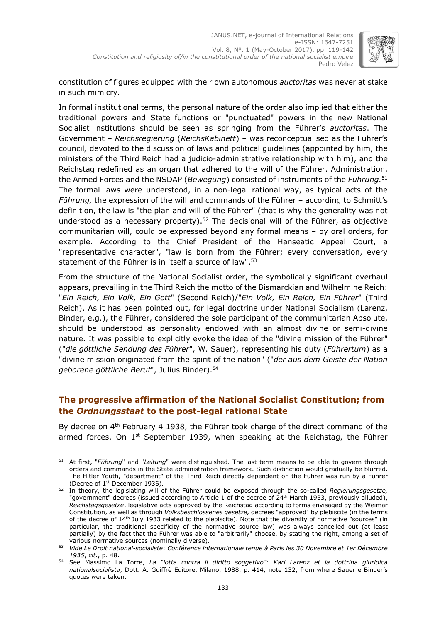

constitution of figures equipped with their own autonomous *auctoritas* was never at stake in such mimicry*.*

In formal institutional terms, the personal nature of the order also implied that either the traditional powers and State functions or "punctuated" powers in the new National Socialist institutions should be seen as springing from the Führer's *auctoritas*. The Government – *Reichsregierung* (*ReichsKabinett*) – was reconceptualised as the Führer's council*,* devoted to the discussion of laws and political guidelines (appointed by him, the ministers of the Third Reich had a judicio-administrative relationship with him), and the Reichstag redefined as an organ that adhered to the will of the Führer. Administration, the Armed Forces and the NSDAP (*Bewegung*) consisted of instruments of the *Führung.* 51 The formal laws were understood, in a non-legal rational way, as typical acts of the *Führung,* the expression of the will and commands of the Führer – according to Schmitt's definition, the law is "the plan and will of the Führer" (that is why the generality was not understood as a necessary property).<sup>52</sup> The decisional will of the Führer, as objective communitarian will, could be expressed beyond any formal means – by oral orders, for example. According to the Chief President of the Hanseatic Appeal Court, a "representative character", "law is born from the Führer; every conversation, every statement of the Führer is in itself a source of law".<sup>53</sup>

From the structure of the National Socialist order, the symbolically significant overhaul appears, prevailing in the Third Reich the motto of the Bismarckian and Wilhelmine Reich: "*Ein Reich, Ein Volk, Ein Gott*" (Second Reich)/"*Ein Volk, Ein Reich, Ein Führer*" (Third Reich). As it has been pointed out, for legal doctrine under National Socialism (Larenz, Binder, e.g.), the Führer, considered the sole participant of the communitarian Absolute, should be understood as personality endowed with an almost divine or semi-divine nature. It was possible to explicitly evoke the idea of the "divine mission of the Führer" ("*die göttliche Sendung des Führer*", W. Sauer), representing his duty (*Führertum*) as a "divine mission originated from the spirit of the nation" ("*der aus dem Geiste der Nation geborene göttliche Beruf*", Julius Binder). 54

# **The progressive affirmation of the National Socialist Constitution; from the** *Ordnungsstaat* **to the post-legal rational State**

By decree on 4<sup>th</sup> February 4 1938, the Führer took charge of the direct command of the armed forces. On 1<sup>st</sup> September 1939, when speaking at the Reichstag, the Führer

<sup>-</sup><sup>51</sup> At first, "*Führung*" and "*Leitung*" were distinguished. The last term means to be able to govern through orders and commands in the State administration framework. Such distinction would gradually be blurred. The Hitler Youth, "department" of the Third Reich directly dependent on the Führer was run by a Führer (Decree of 1 st December 1936)*.*

<sup>52</sup> In theory, the legislating will of the Führer could be exposed through the so-called *Regierungsgesetze,* "government" decrees (issued according to Article 1 of the decree of 24<sup>th</sup> March 1933, previously alluded), *Reichstagsgesetze*, legislative acts approved by the Reichstag according to forms envisaged by the Weimar Constitution, as well as through *Volksbeschlossenes gesetze,* decrees "approved" by plebiscite (in the terms of the decree of 14<sup>th</sup> July 1933 related to the plebiscite). Note that the diversity of normative "sources" (in particular, the traditional specificity of the normative source law) was always cancelled out (at least partially) by the fact that the Führer was able to "arbitrarily" choose, by stating the right, among a set of various normative sources (nominally diverse).

<sup>53</sup> *Vide Le Droit national-socialiste*: *Conférence internationale tenue à Paris les 30 Novembre et 1er Décembre 1935*, *cit.*, p. 48.

<sup>54</sup> See Massimo La Torre, *La "lotta contra il diritto soggetivo": Karl Larenz et la dottrina giuridica nationalsocialista*, Dott. A. Guiffrè Editore, Milano, 1988, p. 414, note 132, from where Sauer e Binder's quotes were taken.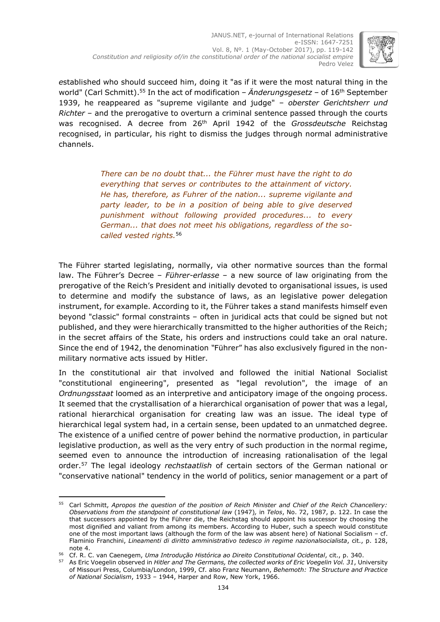

*e*stablished who should succeed him, doing it "as if it were the most natural thing in the world" (Carl Schmitt). <sup>55</sup> In the act of modification – *Änderungsgesetz* – of 16th September 1939, he reappeared as "supreme vigilante and judge" – *oberster Gerichtsherr und Richter* – and the prerogative to overturn a criminal sentence passed through the courts was recognised. A decree from 26th April 1942 of the *Grossdeutsche* Reichstag recognised, in particular, his right to dismiss the judges through normal administrative channels.

> *There can be no doubt that... the Führer must have the right to do everything that serves or contributes to the attainment of victory. He has, therefore, as Fuhrer of the nation... supreme vigilante and party leader, to be in a position of being able to give deserved punishment without following provided procedures... to every German... that does not meet his obligations, regardless of the socalled vested rights.* 56

The Führer started legislating, normally, via other normative sources than the formal law. The Führer's Decree – *Führer-erlasse* – a new source of law originating from the prerogative of the Reich's President and initially devoted to organisational issues, is used to determine and modify the substance of laws, as an legislative power delegation instrument, for example. According to it, the Führer takes a stand manifests himself even beyond "classic" formal constraints – often in juridical acts that could be signed but not published, and they were hierarchically transmitted to the higher authorities of the Reich; in the secret affairs of the State, his orders and instructions could take an oral nature. Since the end of 1942, the denomination *"*Führer" has also exclusively figured in the nonmilitary normative acts issued by Hitler.

In the constitutional air that involved and followed the initial National Socialist "constitutional engineering", presented as "legal revolution", the image of an *Ordnungsstaat* loomed as an interpretive and anticipatory image of the ongoing process. It seemed that the crystallisation of a hierarchical organisation of power that was a legal, rational hierarchical organisation for creating law was an issue. The ideal type of hierarchical legal system had, in a certain sense, been updated to an unmatched degree. The existence of a unified centre of power behind the normative production, in particular legislative production, as well as the very entry of such production in the normal regime, seemed even to announce the introduction of increasing rationalisation of the legal order. <sup>57</sup> The legal ideology *rechstaatlish* of certain sectors of the German national or "conservative national" tendency in the world of politics, senior management or a part of

<sup>-</sup><sup>55</sup> Carl Schmitt, *Apropos the question of the position of Reich Minister and Chief of the Reich Chancellery: Observations from the standpoint of constitutional law* (1947)*,* in *Telos*, No. 72, 1987, p. 122. In case the that successors appointed by the Führer die, the Reichstag should appoint his successor by choosing the most dignified and valiant from among its members. According to Huber, such a speech would constitute one of the most important laws (although the form of the law was absent here) of National Socialism – cf. Flaminio Franchini, *Lineamenti di diritto amministrativo tedesco in regime nazionalsocialista*, cit., p. 128, note 4.

<sup>56</sup> Cf. R. C. van Caenegem, *Uma Introdução Histórica ao Direito Constitutional Ocidental*, cit., p. 340.

<sup>57</sup> As Eric Voegelin observed in *Hitler and The Germans, the collected works of Eric Voegelin Vol. 31*, University of Missouri Press, Columbia/London, 1999, Cf. also Franz Neumann, *Behemoth: The Structure and Practice of National Socialism*, 1933 – 1944, Harper and Row, New York, 1966.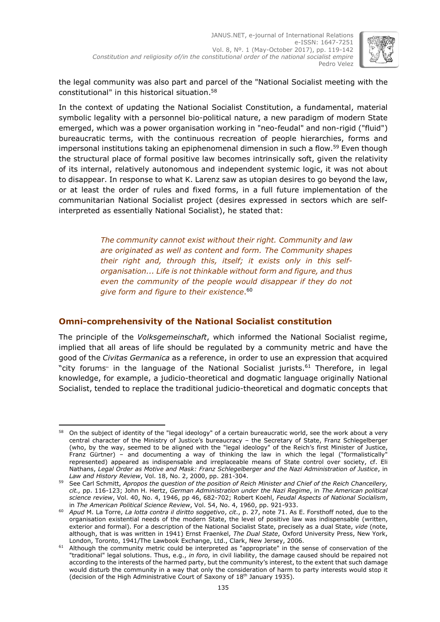

the legal community was also part and parcel of the "National Socialist meeting with the constitutional" in this historical situation. 58

In the context of updating the National Socialist Constitution, a fundamental, material symbolic legality with a personnel bio-political nature, a new paradigm of modern State emerged, which was a power organisation working in "neo-feudal" and non-rigid ("fluid") bureaucratic terms, with the continuous recreation of people hierarchies, forms and impersonal institutions taking an epiphenomenal dimension in such a flow. <sup>59</sup> Even though the structural place of formal positive law becomes intrinsically soft, given the relativity of its internal, relatively autonomous and independent systemic logic, it was not about to disappear. In response to what K. Larenz saw as utopian desires to go beyond the law, or at least the order of rules and fixed forms, in a full future implementation of the communitarian National Socialist project (desires expressed in sectors which are selfinterpreted as essentially National Socialist), he stated that:

> *The community cannot exist without their right. Community and law are originated as well as content and form. The Community shapes their right and, through this, itself; it exists only in this selforganisation... Life is not thinkable without form and figure, and thus even the community of the people would disappear if they do not give form and figure to their existence*. 60

## **Omni-comprehensivity of the National Socialist constitution**

The principle of the *Volksgemeinschaft*, which informed the National Socialist regime, implied that all areas of life should be regulated by a community metric and have the good of the *Civitas Germanica* as a reference, in order to use an expression that acquired "city forums" in the language of the National Socialist jurists.<sup>61</sup> Therefore, in legal knowledge, for example, a judicio-theoretical and dogmatic language originally National Socialist, tended to replace the traditional judicio-theoretical and dogmatic concepts that

<sup>-</sup><sup>58</sup> On the subject of identity of the "legal ideology" of a certain bureaucratic world, see the work about a very central character of the Ministry of Justice's bureaucracy – the Secretary of State, Franz Schlegelberger (who, by the way, seemed to be aligned with the "legal ideology" of the Reich's first Minister of Justice, Franz Gürtner) - and documenting a way of thinking the law in which the legal ("formalistically" represented) appeared as indispensable and irreplaceable means of State control over society, cf. Eli Nathans, *Legal Order as Motive and Mask: Franz Schlegelberger and the Nazi Administration of Justice*, in *Law and History Review*, Vol. 18, No. 2, 2000, pp. 281-304.

<sup>59</sup> See Carl Schmitt, *Apropos the question of the position of Reich Minister and Chief of the Reich Chancellery, cit.,* pp. 116-123; John H. Hertz, *German Administration under the Nazi Regime*, in *The American political science review*, Vol. 40, No. 4, 1946, pp 46, 682-702; Robert Koehl, *Feudal Aspects of National Socialism*, in *The American Political Science Review*, Vol. 54, No. 4, 1960, pp. 921-933.

<sup>60</sup> *Apud* M. La Torre, *La lotta contra il diritto soggetivo*, *cit*., p. 27, note 71. As E. Forsthoff noted, due to the organisation existential needs of the modern State, the level of positive law was indispensable (written, exterior and formal). For a description of the National Socialist State, precisely as a dual State, *vide* (note, although, that is was written in 1941) Ernst Fraenkel, *The Dual State*, Oxford University Press, New York, London, Toronto, 1941/The Lawbook Exchange, Ltd., Clark, New Jersey, 2006.

 $61$  Although the community metric could be interpreted as "appropriate" in the sense of conservation of the "traditional" legal solutions. Thus, e.g., *in foro,* in civil liability, the damage caused should be repaired not according to the interests of the harmed party, but the community's interest, to the extent that such damage would disturb the community in a way that only the consideration of harm to party interests would stop it (decision of the High Administrative Court of Saxony of 18<sup>th</sup> January 1935).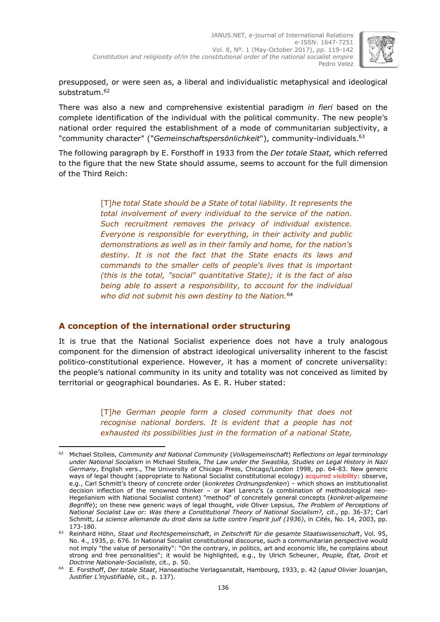

presupposed, or were seen as, a liberal and individualistic metaphysical and ideological substratum. 62

There was also a new and comprehensive existential paradigm *in fieri* based on the complete identification of the individual with the political community. The new people's national order required the establishment of a mode of communitarian subjectivity, a "community character" ("*Gemeinschaftspersönlichkeit*"), community-individuals. 63

The following paragraph by E. Forsthoff in 1933 from the *Der totale Staat,* which referred to the figure that the new State should assume, seems to account for the full dimension of the Third Reich:

> [T]*he total State should be a State of total liability. It represents the total involvement of every individual to the service of the nation. Such recruitment removes the privacy of individual existence. Everyone is responsible for everything, in their activity and public demonstrations as well as in their family and home, for the nation's destiny. It is not the fact that the State enacts its laws and commands to the smaller cells of people's lives that is important (this is the total, "social" quantitative State); it is the fact of also being able to assert a responsibility, to account for the individual who did not submit his own destiny to the Nation.* 64

## **A conception of the international order structuring**

It is true that the National Socialist experience does not have a truly analogous component for the dimension of abstract ideological universality inherent to the fascist politico-constitutional experience. However, it has a moment of concrete universality: the people's national community in its unity and totality was not conceived as limited by territorial or geographical boundaries. As E. R. Huber stated:

> [T]*he German people form a closed community that does not recognise national borders. It is evident that a people has not exhausted its possibilities just in the formation of a national State,*

<sup>-</sup><sup>62</sup> Michael Stolleis, *Community and National Community* (*Volksgemeinschaft*) *Reflections on legal terminology under National Socialism* in Michael Stolleis, *The Law under the Swastika, Studies on Legal History in Nazi Germany*, English vers., The University of Chicago Press, Chicago/London 1998, pp. 64-83. New generic ways of legal thought (appropriate to National Socialist constitutional ecology) acquired visibility: observe, e.g., Carl Schmitt's theory of concrete order (*konkretes Ordnungsdenken*) – which shows an institutionalist decision inflection of the renowned thinker – or Karl Larenz's (a combination of methodological neo-Hegelianism with National Socialist content) "method" of concretely general concepts (*konkret-allgemeine Begriffe*); on these new generic ways of legal thought, *vide* Oliver Lepsius, *The Problem of Perceptions of National Socialist Law or: Was there a Constitutional Theory of National Socialism?, cit*., pp. 36-37; Carl Schmitt, *La science allemande du droit dans sa lutte contre l'esprit juif (1936)*, in *Cités*, No. 14, 2003, pp. 173-180.

<sup>63</sup> Reinhard Höhn, *Staat und Rechtsgemeinschaft*, in *Zeitschrift für die gesamte Staatswissenschaft*, Vol. 95, No. 4., 1935, p. 676. In National Socialist constitutional discourse, such a communitarian perspective would not imply "the value of personality": "On the contrary, in politics, art and economic life, he complains about strong and free personalities"; it would be highlighted, e.g., by Ulrich Scheuner, *Peuple, État, Droit et Doctrine Nationale-Socialiste,* cit., p. 50.

<sup>64</sup> E. Forsthoff, *Der totale Staat*, Hanseatische Verlagsanstalt, Hambourg, 1933, p. 42 (*apud* Olivier Jouanjan, *Justifier L'injustifiable*, cit., p. 137).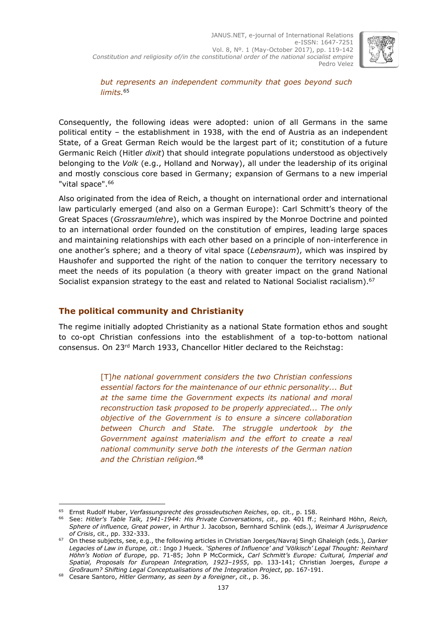

*but represents an independent community that goes beyond such limits.* 65

Consequently, the following ideas were adopted: union of all Germans in the same political entity – the establishment in 1938, with the end of Austria as an independent State, of a Great German Reich would be the largest part of it; constitution of a future Germanic Reich (Hitler *dixit*) that should integrate populations understood as objectively belonging to the *Volk* (e.g., Holland and Norway), all under the leadership of its original and mostly conscious core based in Germany; expansion of Germans to a new imperial "vital space". 66

Also originated from the idea of Reich, a thought on international order and international law particularly emerged (and also on a German Europe): Carl Schmitt's theory of the Great Spaces (*Grossraumlehre*), which was inspired by the Monroe Doctrine and pointed to an international order founded on the constitution of empires, leading large spaces and maintaining relationships with each other based on a principle of non-interference in one another's sphere; and a theory of vital space (*Lebensraum*), which was inspired by Haushofer and supported the right of the nation to conquer the territory necessary to meet the needs of its population (a theory with greater impact on the grand National Socialist expansion strategy to the east and related to National Socialist racialism).<sup>67</sup>

### **The political community and Christianity**

The regime initially adopted Christianity as a national State formation ethos and sought to co-opt Christian confessions into the establishment of a top-to-bottom national consensus. On 23rd March 1933, Chancellor Hitler declared to the Reichstag:

> [T]*he national government considers the two Christian confessions essential factors for the maintenance of our ethnic personality... But at the same time the Government expects its national and moral reconstruction task proposed to be properly appreciated... The only objective of the Government is to ensure a sincere collaboration between Church and State. The struggle undertook by the Government against materialism and the effort to create a real national community serve both the interests of the German nation and the Christian religion*. 68

<sup>-</sup><sup>65</sup> Ernst Rudolf Huber, *Verfassungsrecht des grossdeutschen Reiches*, op. cit., p. 158.

<sup>66</sup> See: *Hitler's Table Talk, 1941-1944: His Private Conversations*, *cit*., pp. 401 ff.; Reinhard Höhn, *Reich, Sphere of influence, Great power*, in Arthur J. Jacobson, Bernhard Schlink (eds.), *Weimar A Jurisprudence of Crisis*, cit., pp. 332-333.

<sup>67</sup> On these subjects, see, e.g., the following articles in Christian Joerges/Navraj Singh Ghaleigh (eds.), *Darker Legacies of Law in Europe, cit.*: Ingo J Hueck. *'Spheres of Influence' and 'Völkisch' Legal Thought: Reinhard Höhn's Notion of Europe*, pp. 71-85; John P McCormick, *Carl Schmitt's Europe: Cultural, Imperial and Spatial, Proposals for European Integration, 1923–1955*, pp. 133-141; Christian Joerges, *Europe a Großraum? Shifting Legal Conceptualisations of the Integration Project*, pp. 167-191.

<sup>68</sup> Cesare Santoro, *Hitler Germany, as seen by a foreigner*, *cit*., p. 36.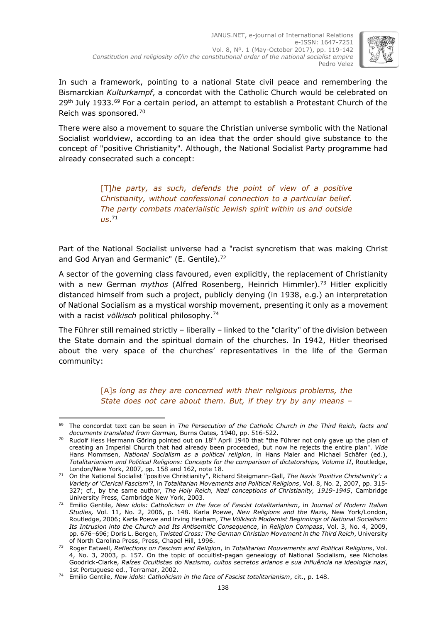

In such a framework, pointing to a national State civil peace and remembering the Bismarckian *Kulturkampf*, a concordat with the Catholic Church would be celebrated on 29<sup>th</sup> July 1933.<sup>69</sup> For a certain period, an attempt to establish a Protestant Church of the Reich was sponsored. 70

There were also a movement to square the Christian universe symbolic with the National Socialist worldview, according to an idea that the order should give substance to the concept of "positive Christianity". Although, the National Socialist Party programme had already consecrated such a concept:

> [T]*he party, as such, defends the point of view of a positive Christianity, without confessional connection to a particular belief. The party combats materialistic Jewish spirit within us and outside us*. 71

Part of the National Socialist universe had a "racist syncretism that was making Christ and God Aryan and Germanic" (E. Gentile).<sup>72</sup>

A sector of the governing class favoured, even explicitly, the replacement of Christianity with a new German *mythos* (Alfred Rosenberg, Heinrich Himmler). <sup>73</sup> Hitler explicitly distanced himself from such a project, publicly denying (in 1938, e.g.) an interpretation of National Socialism as a mystical worship movement, presenting it only as a movement with a racist *völkisch* political philosophy. 74

The Führer still remained strictly – liberally – linked to the "clarity" of the division between the State domain and the spiritual domain of the churches. In 1942, Hitler theorised about the very space of the churches' representatives in the life of the German community:

> [A]*s long as they are concerned with their religious problems, the State does not care about them. But, if they try by any means –*

<sup>-</sup><sup>69</sup> The concordat text can be seen in *The Persecution of the Catholic Church in the Third Reich, facts and documents translated from German,* Burns Oates*,* 1940, pp. 516-522.

 $70$  Rudolf Hess Hermann Göring pointed out on  $18<sup>th</sup>$  April 1940 that "the Führer not only gave up the plan of creating an Imperial Church that had already been proceeded, but now he rejects the entire plan". *Vide*  Hans Mommsen, *National Socialism as a political religion*, in Hans Maier and Michael Schäfer (ed.), *Totalitarianism and Political Religions: Concepts for the comparison of dictatorships, Volume II*, Routledge, London/New York, 2007, pp. 158 and 162, note 18.

<sup>71</sup> On the National Socialist "positive Christianity", Richard Steigmann-Gall, *The Nazis 'Positive Christianity': a Variety of 'Clerical Fascism'?,* in *Totalitarian Movements and Political Religions*, Vol. 8, No. 2, 2007, pp. 315- 327; cf., by the same author, *The Holy Reich, Nazi conceptions of Christianity, 1919-1945*, Cambridge University Press, Cambridge New York, 2003.

<sup>72</sup> Emilio Gentile, *New idols: Catholicism in the face of Fascist totalitarianism*, in *Journal of Modern Italian Studies,* Vol. 11, No. 2, 2006, p. 148. Karla Poewe, *New Religions and the Nazis,* New York/London, Routledge, 2006; Karla Poewe and lrving Hexham, *The Völkisch Modernist Beginnings of National Socialism: Its Intrusion into the Church and Its Antisemitic Consequence*, in *Religion Compass*, Vol. 3, No. 4, 2009, pp. 676–696; Doris L. Bergen, *Twisted Cross: The German Christian Movement in the Third Reich*, University of North Carolina Press, Press, Chapel Hill, 1996.

<sup>73</sup> Roger Eatwell, *Reflections on Fascism and Religion*, in *Totalitarian Mouvements and Political Religions*, Vol. 4, No. 3, 2003, p. 157. On the topic of occultist-pagan genealogy of National Socialism, see Nicholas Goodrick-Clarke, *Raízes Ocultistas do Nazismo, cultos secretos arianos e sua influência na ideologia nazi*, 1st Portuguese ed., Terramar, 2002.

<sup>74</sup> Emilio Gentile, *New idols: Catholicism in the face of Fascist totalitarianism*, cit., p. 148.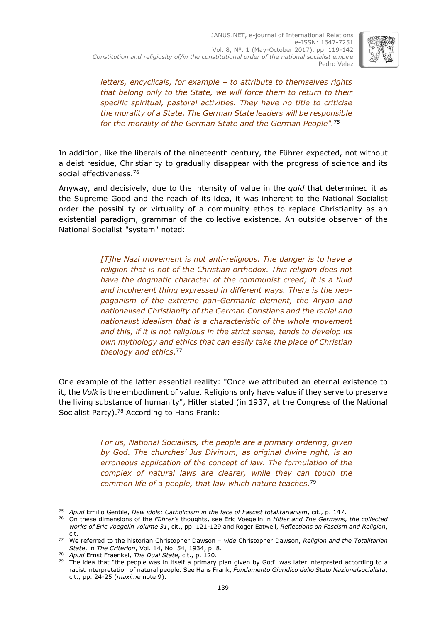

*letters, encyclicals, for example – to attribute to themselves rights that belong only to the State, we will force them to return to their specific spiritual, pastoral activities. They have no title to criticise the morality of a State. The German State leaders will be responsible for the morality of the German State and the German People".*<sup>75</sup>

In addition, like the liberals of the nineteenth century, the Führer expected, not without a deist residue, Christianity to gradually disappear with the progress of science and its social effectiveness. 76

Anyway, and decisively, due to the intensity of value in the *quid* that determined it as the Supreme Good and the reach of its idea, it was inherent to the National Socialist order the possibility or virtuality of a community ethos to replace Christianity as an existential paradigm, grammar of the collective existence. An outside observer of the National Socialist "system" noted:

> *[T]he Nazi movement is not anti-religious. The danger is to have a religion that is not of the Christian orthodox. This religion does not have the dogmatic character of the communist creed; it is a fluid and incoherent thing expressed in different ways. There is the neopaganism of the extreme pan-Germanic element, the Aryan and nationalised Christianity of the German Christians and the racial and nationalist idealism that is a characteristic of the whole movement and this, if it is not religious in the strict sense, tends to develop its own mythology and ethics that can easily take the place of Christian theology and ethics*. 77

One example of the latter essential reality: "Once we attributed an eternal existence to it, the *Volk* is the embodiment of value. Religions only have value if they serve to preserve the living substance of humanity", Hitler stated (in 1937, at the Congress of the National Socialist Party). <sup>78</sup> According to Hans Frank:

> *For us, National Socialists, the people are a primary ordering, given by God. The churches' Jus Divinum, as original divine right, is an erroneous application of the concept of law. The formulation of the complex of natural laws are clearer, while they can touch the common life of a people, that law which nature teaches*. 79

<sup>-</sup><sup>75</sup> *Apud* Emilio Gentile, *New idols: Catholicism in the face of Fascist totalitarianism*, cit., p. 147.

<sup>76</sup> On these dimensions of the *Führer*'s thoughts, see Eric Voegelin in *Hitler and The Germans, the collected works of Eric Voegelin volume 31*, cit., pp. 121-129 and Roger Eatwell, *Reflections on Fascism and Religion*, cit.

<sup>77</sup> We referred to the historian Christopher Dawson – *vide* Christopher Dawson, *Religion and the Totalitarian State*, in *The Criterion*, Vol. 14, No. 54, 1934, p. 8.

<sup>78</sup> *Apud* Ernst Fraenkel, *The Dual State*, cit., p. 120.

 $79$  The idea that "the people was in itself a primary plan given by God" was later interpreted according to a racist interpretation of natural people. See Hans Frank, *Fondamento Giuridico dello Stato Nazionalsocialista*, cit., pp. 24-25 (*maxime* note 9).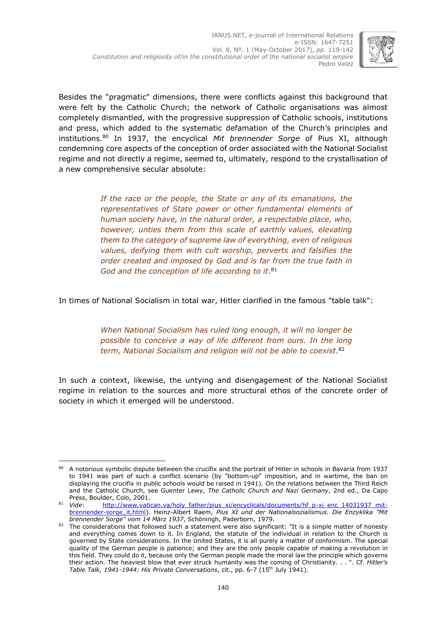

Besides the "pragmatic" dimensions, there were conflicts against this background that were felt by the Catholic Church; the network of Catholic organisations was almost completely dismantled, with the progressive suppression of Catholic schools, institutions and press, which added to the systematic defamation of the Church's principles and institutions. <sup>80</sup> In 1937, the encyclical *Mit brennender Sorge* of Pius XI, although condemning core aspects of the conception of order associated with the National Socialist regime and not directly a regime, seemed to, ultimately, respond to the crystallisation of a new comprehensive secular absolute:

> *If the race or the people, the State or any of its emanations, the representatives of State power or other fundamental elements of human society have, in the natural order, a respectable place, who, however, unties them from this scale of earthly values, elevating them to the category of supreme law of everything, even of religious values, deifying them with cult worship, perverts and falsifies the order created and imposed by God and is far from the true faith in God and the conception of life according to it*. 81

In times of National Socialism in total war, Hitler clarified in the famous "table talk":

*When National Socialism has ruled long enough, it will no longer be possible to conceive a way of life different from ours. In the long term, National Socialism and religion will not be able to coexist*. 82

In such a context, likewise, the untying and disengagement of the National Socialist regime in relation to the sources and more structural ethos of the concrete order of society in which it emerged will be understood.

<sup>-</sup>80 A notorious symbolic dispute between the crucifix and the portrait of Hitler in schools in Bavaria from 1937 to 1941 was part of such a conflict scenario (by "bottom-up" imposition, and in wartime, the ban on displaying the crucifix in public schools would be raised in 1941). On the relations between the Third Reich and the Catholic Church, see Guenter Lewy, *The Catholic Church and Nazi Germany*, 2nd ed., Da Capo

Press, Boulder, Colo, 2001.<br><sup>81</sup> *Vide*: http://www.vatio [http://www.vatican.va/holy\\_father/pius\\_xi/encyclicals/documents/hf\\_p-xi\\_enc\\_14031937\\_mit](http://www.vatican.va/holy_father/pius_xi/encyclicals/documents/hf_p-xi_enc_14031937_mit-brennender-sorge_it.html)[brennender-sorge\\_it.html\)](http://www.vatican.va/holy_father/pius_xi/encyclicals/documents/hf_p-xi_enc_14031937_mit-brennender-sorge_it.html). Heinz-Albert Raem, *Pius XI und der Nationalsozialismus. Die Enzyklika "Mit brennender Sorge" vom 14 März 1937*, Schöningh, Paderborn, 1979.

 $82$  The considerations that followed such a statement were also significant: "It is a simple matter of honesty and everything comes down to it. In England, the statute of the individual in relation to the Church is governed by State considerations. In the United States, it is all purely a matter of conformism. The special quality of the German people is patience; and they are the only people capable of making a revolution in this field. They could do it, because only the German people made the moral law the principle which governs their action. The heaviest blow that ever struck humanity was the coming of Christianity. . . ". Cf. *Hitler's Table Talk, 1941-1944: His Private Conversations*, cit., pp. 6-7 (15th July 1941).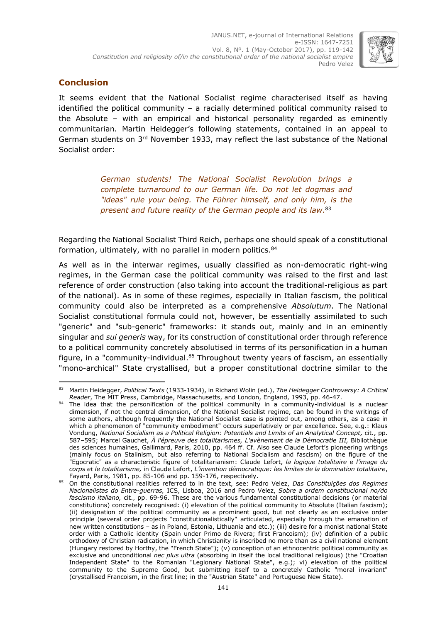

## **Conclusion**

It seems evident that the National Socialist regime characterised itself as having identified the political community – a racially determined political community raised to the Absolute – with an empirical and historical personality regarded as eminently communitarian*.* Martin Heidegger's following statements, contained in an appeal to German students on 3<sup>rd</sup> November 1933, may reflect the last substance of the National Socialist order:

> *German students! The National Socialist Revolution brings a complete turnaround to our German life. Do not let dogmas and "ideas" rule your being. The Führer himself, and only him, is the present and future reality of the German people and its law*. 83

Regarding the National Socialist Third Reich, perhaps one should speak of a constitutional formation, ultimately, with no parallel in modern politics.<sup>84</sup>

As well as in the interwar regimes, usually classified as non-democratic right-wing regimes, in the German case the political community was raised to the first and last reference of order construction (also taking into account the traditional-religious as part of the national). As in some of these regimes, especially in Italian fascism, the political community could also be interpreted as a comprehensive *Absolutum*. The National Socialist constitutional formula could not, however, be essentially assimilated to such "generic" and "sub-generic" frameworks: it stands out, mainly and in an eminently singular and *sui generis* way, for its construction of constitutional order through reference to a political community concretely absolutised in terms of its personification in a human figure, in a "community-individual.<sup>85</sup> Throughout twenty years of fascism, an essentially "mono-archical" State crystallised, but a proper constitutional doctrine similar to the

<sup>-</sup><sup>83</sup> Martin Heidegger, *Political Texts* (1933-1934), in Richard Wolin (ed.), *The Heidegger Controversy: A Critical Reader*, The MIT Press, Cambridge, Massachusetts, and London, England, 1993, pp. 46-47.

<sup>84</sup> The idea that the personification of the political community in a community-individual is a nuclear dimension, if not the central dimension, of the National Socialist regime, can be found in the writings of some authors, although frequently the National Socialist case is pointed out, among others, as a case in which a phenomenon of "community embodiment" occurs superlatively or par excellence. See, e.g.: Klaus Vondung, *National Socialism as a Political Religion: Potentials and Limits of an Analytical Concept,* cit., pp. 587–595; Marcel Gauchet, *À l'épreuve des totalitarismes, L'avènement de la Démocratie III,* Bibliothèque des sciences humaines, Gallimard, Paris, 2010, pp. 464 ff. Cf. Also see Claude Lefort's pioneering writings (mainly focus on Stalinism, but also referring to National Socialism and fascism) on the figure of the "Egocratic" as a characteristic figure of totalitarianism: Claude Lefort, *la logique totalitaire* e *l'image du corps et le totalitarisme,* in Claude Lefort, *L'invention démocratique: les limites de la domination totalitaire*, Fayard, Paris, 1981, pp. 85-106 and pp. 159-176, respectively.

<sup>85</sup> On the constitutional realities referred to in the text, see: Pedro Velez, *Das Constituições dos Regimes Nacionalistas do Entre-guerras,* ICS, Lisboa, 2016 and Pedro Velez, *Sobre a ordem constitucional no/do fascismo italiano,* cit., pp. 69-96. These are the various fundamental constitutional decisions (or material constitutions) concretely recognised: (i) elevation of the political community to Absolute (Italian fascism); (ii) designation of the political community as a prominent good, but not clearly as an exclusive order principle (several order projects "constitutionalistically" articulated, especially through the emanation of new written constitutions – as in Poland, Estonia, Lithuania and etc.); (iii) desire for a monist national State order with a Catholic identity (Spain under Primo de Rivera; first Francoism); (iv) definition of a public orthodoxy of Christian radication, in which Christianity is inscribed no more than as a civil national element (Hungary restored by Horthy, the "French State"); (v) conception of an ethnocentric political community as exclusive and unconditional *nec plus ultra* (absorbing in itself the local traditional religious) (the "Croatian Independent State" to the Romanian "Legionary National State", e.g.); vi) elevation of the political community to the Supreme Good, but submitting itself to a concretely Catholic "moral invariant" (crystallised Francoism, in the first line; in the "Austrian State" and Portuguese New State).